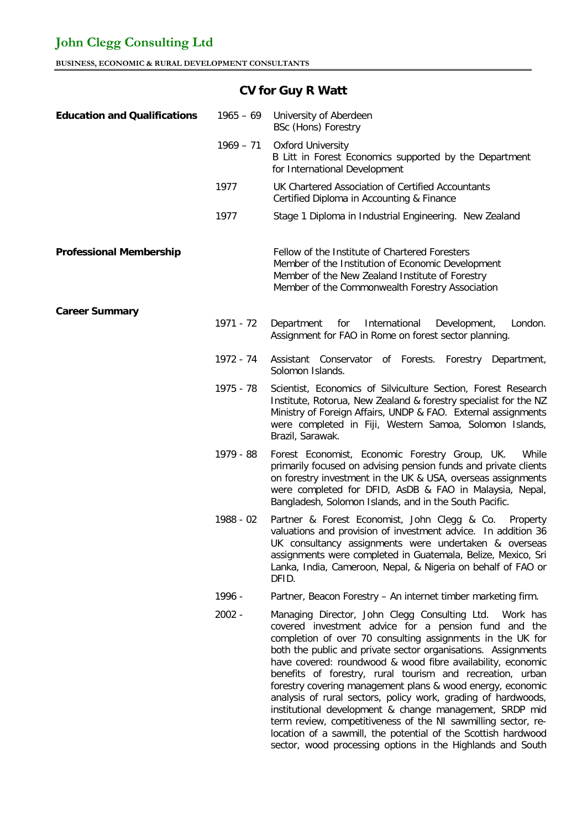| <b>Education and Qualifications</b> | $1965 - 69$ | University of Aberdeen<br><b>BSc (Hons) Forestry</b>                                                                                                                                                                                                                                                                                                                                                                                                                                                                                                                                                                                                                                                                                                                   |
|-------------------------------------|-------------|------------------------------------------------------------------------------------------------------------------------------------------------------------------------------------------------------------------------------------------------------------------------------------------------------------------------------------------------------------------------------------------------------------------------------------------------------------------------------------------------------------------------------------------------------------------------------------------------------------------------------------------------------------------------------------------------------------------------------------------------------------------------|
|                                     | $1969 - 71$ | <b>Oxford University</b><br>B Litt in Forest Economics supported by the Department<br>for International Development                                                                                                                                                                                                                                                                                                                                                                                                                                                                                                                                                                                                                                                    |
|                                     | 1977        | UK Chartered Association of Certified Accountants<br>Certified Diploma in Accounting & Finance                                                                                                                                                                                                                                                                                                                                                                                                                                                                                                                                                                                                                                                                         |
|                                     | 1977        | Stage 1 Diploma in Industrial Engineering. New Zealand                                                                                                                                                                                                                                                                                                                                                                                                                                                                                                                                                                                                                                                                                                                 |
| <b>Professional Membership</b>      |             | Fellow of the Institute of Chartered Foresters<br>Member of the Institution of Economic Development<br>Member of the New Zealand Institute of Forestry<br>Member of the Commonwealth Forestry Association                                                                                                                                                                                                                                                                                                                                                                                                                                                                                                                                                              |
| <b>Career Summary</b>               |             |                                                                                                                                                                                                                                                                                                                                                                                                                                                                                                                                                                                                                                                                                                                                                                        |
|                                     | 1971 - 72   | Department<br>for<br>International<br>Development,<br>London.<br>Assignment for FAO in Rome on forest sector planning.                                                                                                                                                                                                                                                                                                                                                                                                                                                                                                                                                                                                                                                 |
|                                     | 1972 - 74   | Assistant Conservator of Forests. Forestry Department,<br>Solomon Islands.                                                                                                                                                                                                                                                                                                                                                                                                                                                                                                                                                                                                                                                                                             |
|                                     | 1975 - 78   | Scientist, Economics of Silviculture Section, Forest Research<br>Institute, Rotorua, New Zealand & forestry specialist for the NZ<br>Ministry of Foreign Affairs, UNDP & FAO. External assignments<br>were completed in Fiji, Western Samoa, Solomon Islands,<br>Brazil, Sarawak.                                                                                                                                                                                                                                                                                                                                                                                                                                                                                      |
|                                     | 1979 - 88   | While<br>Forest Economist, Economic Forestry Group, UK.<br>primarily focused on advising pension funds and private clients<br>on forestry investment in the UK & USA, overseas assignments<br>were completed for DFID, AsDB & FAO in Malaysia, Nepal,<br>Bangladesh, Solomon Islands, and in the South Pacific.                                                                                                                                                                                                                                                                                                                                                                                                                                                        |
|                                     | 1988 - 02   | Partner & Forest Economist, John Clegg & Co.<br>Property<br>valuations and provision of investment advice. In addition 36<br>UK consultancy assignments were undertaken & overseas<br>assignments were completed in Guatemala, Belize, Mexico, Sri<br>Lanka, India, Cameroon, Nepal, & Nigeria on behalf of FAO or<br>DFID.                                                                                                                                                                                                                                                                                                                                                                                                                                            |
|                                     | 1996 -      | Partner, Beacon Forestry - An internet timber marketing firm.                                                                                                                                                                                                                                                                                                                                                                                                                                                                                                                                                                                                                                                                                                          |
|                                     | 2002 -      | Managing Director, John Clegg Consulting Ltd.<br>Work has<br>covered investment advice for a pension fund and the<br>completion of over 70 consulting assignments in the UK for<br>both the public and private sector organisations. Assignments<br>have covered: roundwood & wood fibre availability, economic<br>benefits of forestry, rural tourism and recreation, urban<br>forestry covering management plans & wood energy, economic<br>analysis of rural sectors, policy work, grading of hardwoods,<br>institutional development & change management, SRDP mid<br>term review, competitiveness of the NI sawmilling sector, re-<br>location of a sawmill, the potential of the Scottish hardwood<br>sector, wood processing options in the Highlands and South |

## **CV for Guy R Watt**